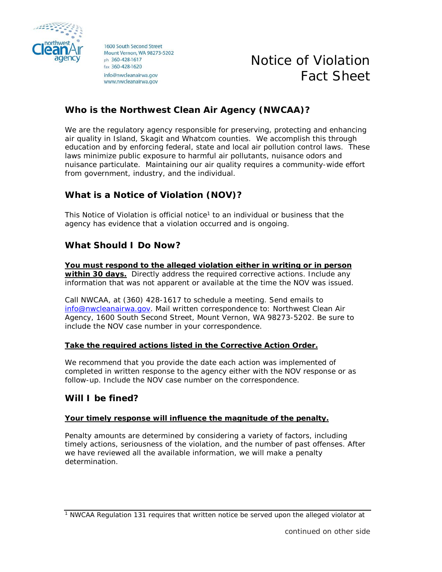

1600 South Second Street Mount Vernon, WA 98273-5202 ph 360-428-1617 fax 360-428-1620 info@nwcleanairwa.gov www.nwcleanairwa.gov

# **Who is the Northwest Clean Air Agency (NWCAA)?**

We are the regulatory agency responsible for preserving, protecting and enhancing air quality in Island, Skagit and Whatcom counties. We accomplish this through education and by enforcing federal, state and local air pollution control laws. These laws minimize public exposure to harmful air pollutants, nuisance odors and nuisance particulate. Maintaining our air quality requires a community-wide effort from government, industry, and the individual.

# **What is a Notice of Violation (NOV)?**

This Notice of Violation is official notice<sup>1</sup> to an individual or business that the agency has evidence that a violation occurred and is ongoing.

# **What Should I Do Now?**

**You must respond to the alleged violation either in writing or in person within 30 days.** Directly address the required corrective actions. Include any information that was not apparent or available at the time the NOV was issued.

Call NWCAA, at (360) 428-1617 to schedule a meeting. Send emails to [info@nwcleanairwa.gov.](mailto:info@nwcleanairwa.gov) Mail written correspondence to: Northwest Clean Air Agency, 1600 South Second Street, Mount Vernon, WA 98273-5202. Be sure to include the NOV case number in your correspondence.

## **Take the required actions listed in the Corrective Action Order.**

We recommend that you provide the date each action was implemented of completed in written response to the agency either with the NOV response or as follow-up. Include the NOV case number on the correspondence.

## **Will I be fined?**

#### **Your timely response will influence the magnitude of the penalty.**

Penalty amounts are determined by considering a variety of factors, including timely actions, seriousness of the violation, and the number of past offenses. After we have reviewed all the available information, we will make a penalty determination.